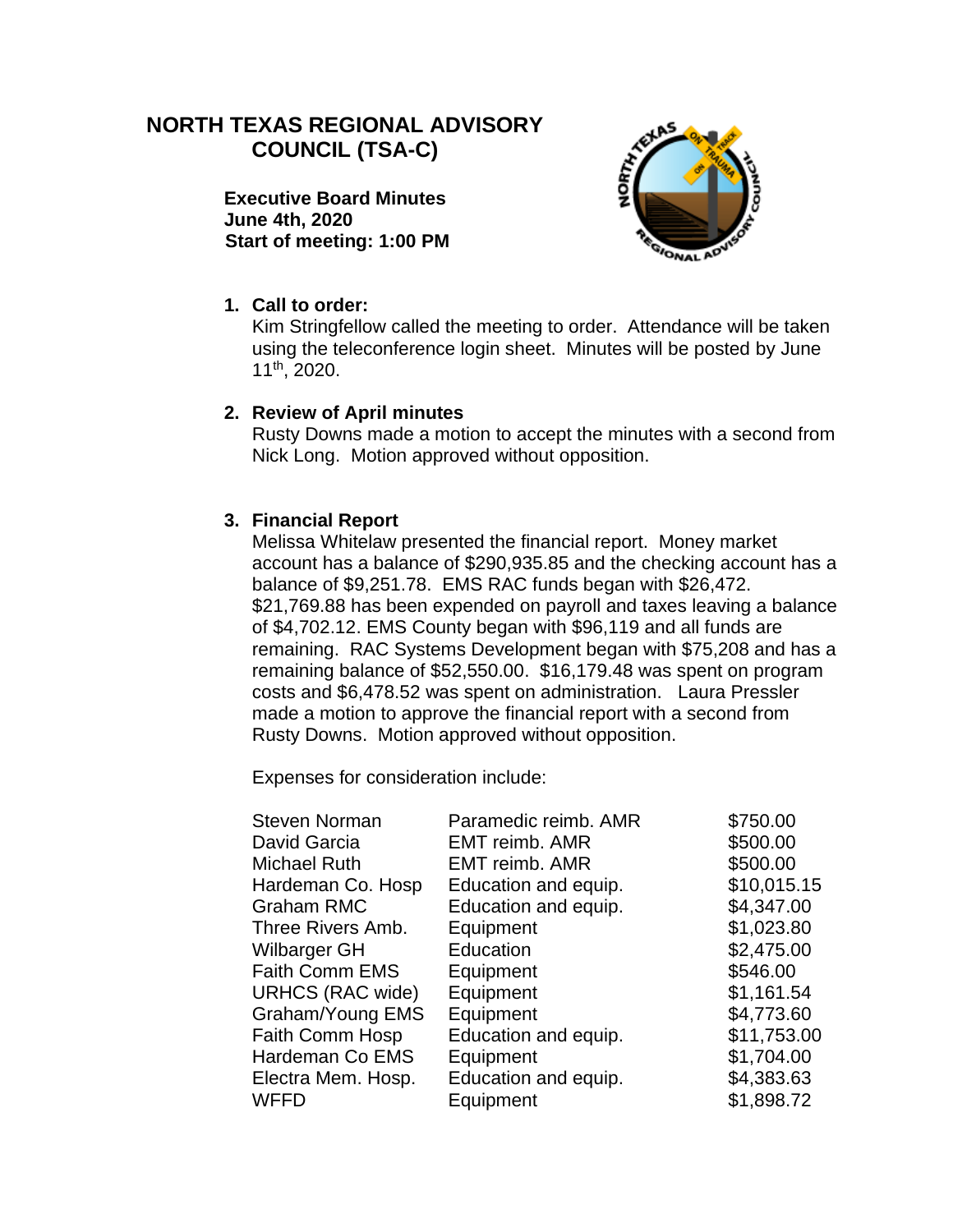# **NORTH TEXAS REGIONAL ADVISORY COUNCIL (TSA-C)**

**Executive Board Minutes June 4th, 2020 Start of meeting: 1:00 PM**



## **1. Call to order:**

Kim Stringfellow called the meeting to order. Attendance will be taken using the teleconference login sheet. Minutes will be posted by June 11th, 2020.

#### **2. Review of April minutes**

Rusty Downs made a motion to accept the minutes with a second from Nick Long. Motion approved without opposition.

### **3. Financial Report**

Melissa Whitelaw presented the financial report. Money market account has a balance of \$290,935.85 and the checking account has a balance of \$9,251.78. EMS RAC funds began with \$26,472. \$21,769.88 has been expended on payroll and taxes leaving a balance of \$4,702.12. EMS County began with \$96,119 and all funds are remaining. RAC Systems Development began with \$75,208 and has a remaining balance of \$52,550.00. \$16,179.48 was spent on program costs and \$6,478.52 was spent on administration. Laura Pressler made a motion to approve the financial report with a second from Rusty Downs. Motion approved without opposition.

Expenses for consideration include:

| <b>Steven Norman</b>    | Paramedic reimb. AMR  | \$750.00    |
|-------------------------|-----------------------|-------------|
| David Garcia            | <b>EMT reimb. AMR</b> | \$500.00    |
| <b>Michael Ruth</b>     | <b>EMT reimb. AMR</b> | \$500.00    |
| Hardeman Co. Hosp       | Education and equip.  | \$10,015.15 |
| <b>Graham RMC</b>       | Education and equip.  | \$4,347.00  |
| Three Rivers Amb.       | Equipment             | \$1,023.80  |
| Wilbarger GH            | Education             | \$2,475.00  |
| <b>Faith Comm EMS</b>   | Equipment             | \$546.00    |
| <b>URHCS (RAC wide)</b> | Equipment             | \$1,161.54  |
| Graham/Young EMS        | Equipment             | \$4,773.60  |
| Faith Comm Hosp         | Education and equip.  | \$11,753.00 |
| Hardeman Co EMS         | Equipment             | \$1,704.00  |
| Electra Mem. Hosp.      | Education and equip.  | \$4,383.63  |
| <b>WFFD</b>             | Equipment             | \$1,898.72  |
|                         |                       |             |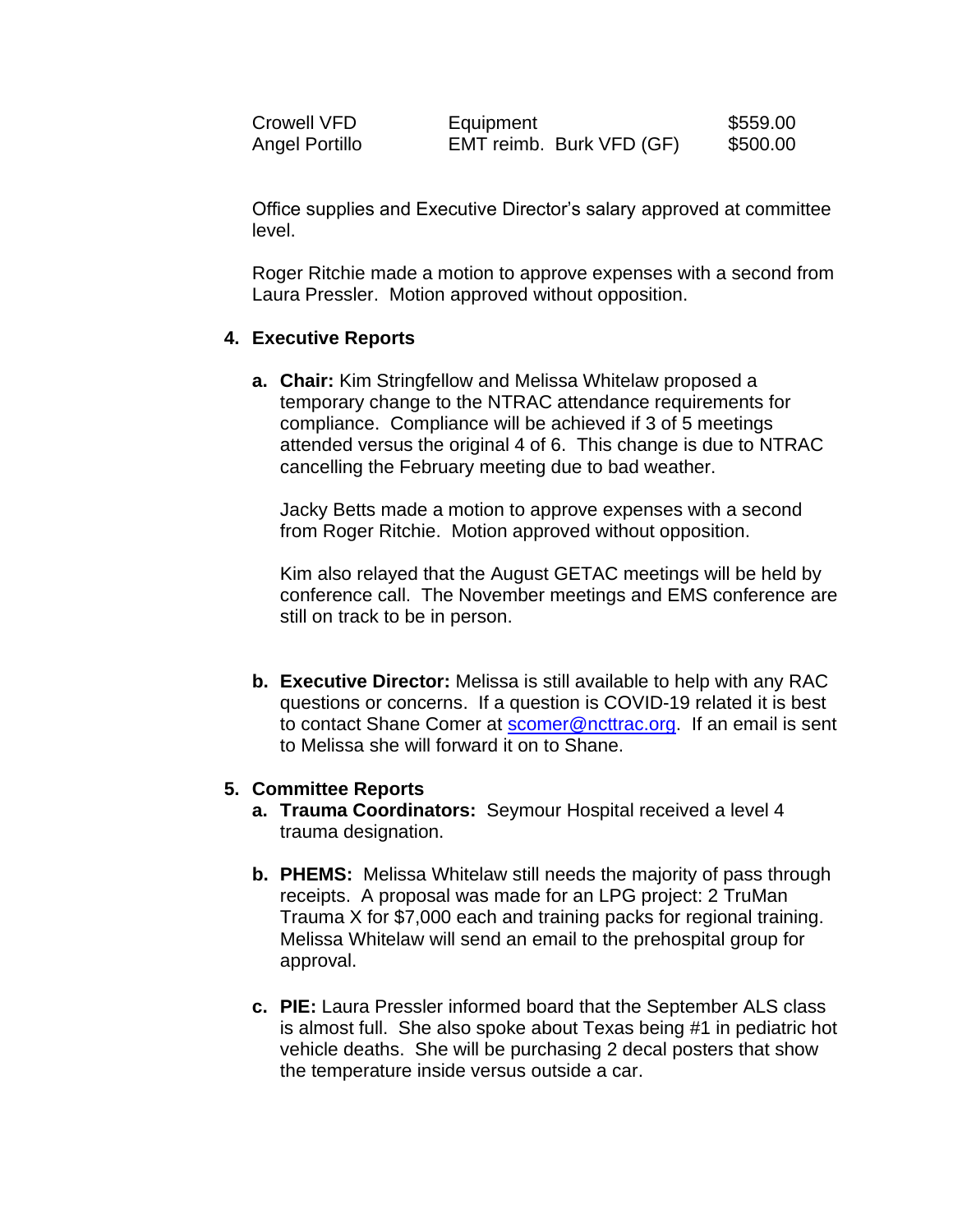| Crowell VFD    | Equipment                | \$559.00 |
|----------------|--------------------------|----------|
| Angel Portillo | EMT reimb. Burk VFD (GF) | \$500.00 |

Office supplies and Executive Director's salary approved at committee level.

Roger Ritchie made a motion to approve expenses with a second from Laura Pressler. Motion approved without opposition.

#### **4. Executive Reports**

**a. Chair:** Kim Stringfellow and Melissa Whitelaw proposed a temporary change to the NTRAC attendance requirements for compliance. Compliance will be achieved if 3 of 5 meetings attended versus the original 4 of 6. This change is due to NTRAC cancelling the February meeting due to bad weather.

Jacky Betts made a motion to approve expenses with a second from Roger Ritchie. Motion approved without opposition.

Kim also relayed that the August GETAC meetings will be held by conference call. The November meetings and EMS conference are still on track to be in person.

**b. Executive Director:** Melissa is still available to help with any RAC questions or concerns. If a question is COVID-19 related it is best to contact Shane Comer at [scomer@ncttrac.org.](mailto:scomer@ncttrac.org) If an email is sent to Melissa she will forward it on to Shane.

#### **5. Committee Reports**

- **a. Trauma Coordinators:** Seymour Hospital received a level 4 trauma designation.
- **b. PHEMS:** Melissa Whitelaw still needs the majority of pass through receipts. A proposal was made for an LPG project: 2 TruMan Trauma X for \$7,000 each and training packs for regional training. Melissa Whitelaw will send an email to the prehospital group for approval.
- **c. PIE:** Laura Pressler informed board that the September ALS class is almost full. She also spoke about Texas being #1 in pediatric hot vehicle deaths. She will be purchasing 2 decal posters that show the temperature inside versus outside a car.